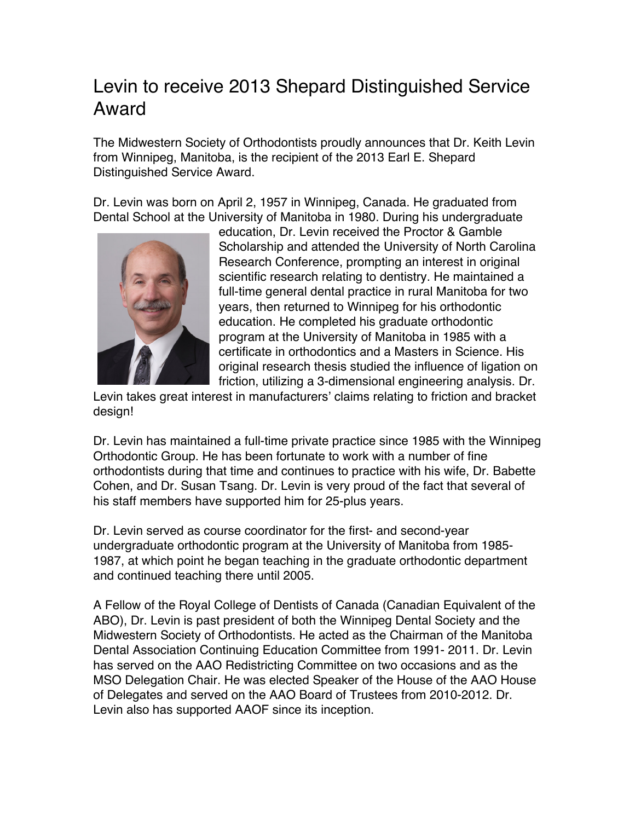## Levin to receive 2013 Shepard Distinguished Service Award

The Midwestern Society of Orthodontists proudly announces that Dr. Keith Levin from Winnipeg, Manitoba, is the recipient of the 2013 Earl E. Shepard Distinguished Service Award.

Dr. Levin was born on April 2, 1957 in Winnipeg, Canada. He graduated from Dental School at the University of Manitoba in 1980. During his undergraduate



education, Dr. Levin received the Proctor & Gamble Scholarship and attended the University of North Carolina Research Conference, prompting an interest in original scientific research relating to dentistry. He maintained a full-time general dental practice in rural Manitoba for two years, then returned to Winnipeg for his orthodontic education. He completed his graduate orthodontic program at the University of Manitoba in 1985 with a certificate in orthodontics and a Masters in Science. His original research thesis studied the influence of ligation on friction, utilizing a 3-dimensional engineering analysis. Dr.

Levin takes great interest in manufacturers' claims relating to friction and bracket design!

Dr. Levin has maintained a full-time private practice since 1985 with the Winnipeg Orthodontic Group. He has been fortunate to work with a number of fine orthodontists during that time and continues to practice with his wife, Dr. Babette Cohen, and Dr. Susan Tsang. Dr. Levin is very proud of the fact that several of his staff members have supported him for 25-plus years.

Dr. Levin served as course coordinator for the first- and second-year undergraduate orthodontic program at the University of Manitoba from 1985- 1987, at which point he began teaching in the graduate orthodontic department and continued teaching there until 2005.

A Fellow of the Royal College of Dentists of Canada (Canadian Equivalent of the ABO), Dr. Levin is past president of both the Winnipeg Dental Society and the Midwestern Society of Orthodontists. He acted as the Chairman of the Manitoba Dental Association Continuing Education Committee from 1991- 2011. Dr. Levin has served on the AAO Redistricting Committee on two occasions and as the MSO Delegation Chair. He was elected Speaker of the House of the AAO House of Delegates and served on the AAO Board of Trustees from 2010-2012. Dr. Levin also has supported AAOF since its inception.